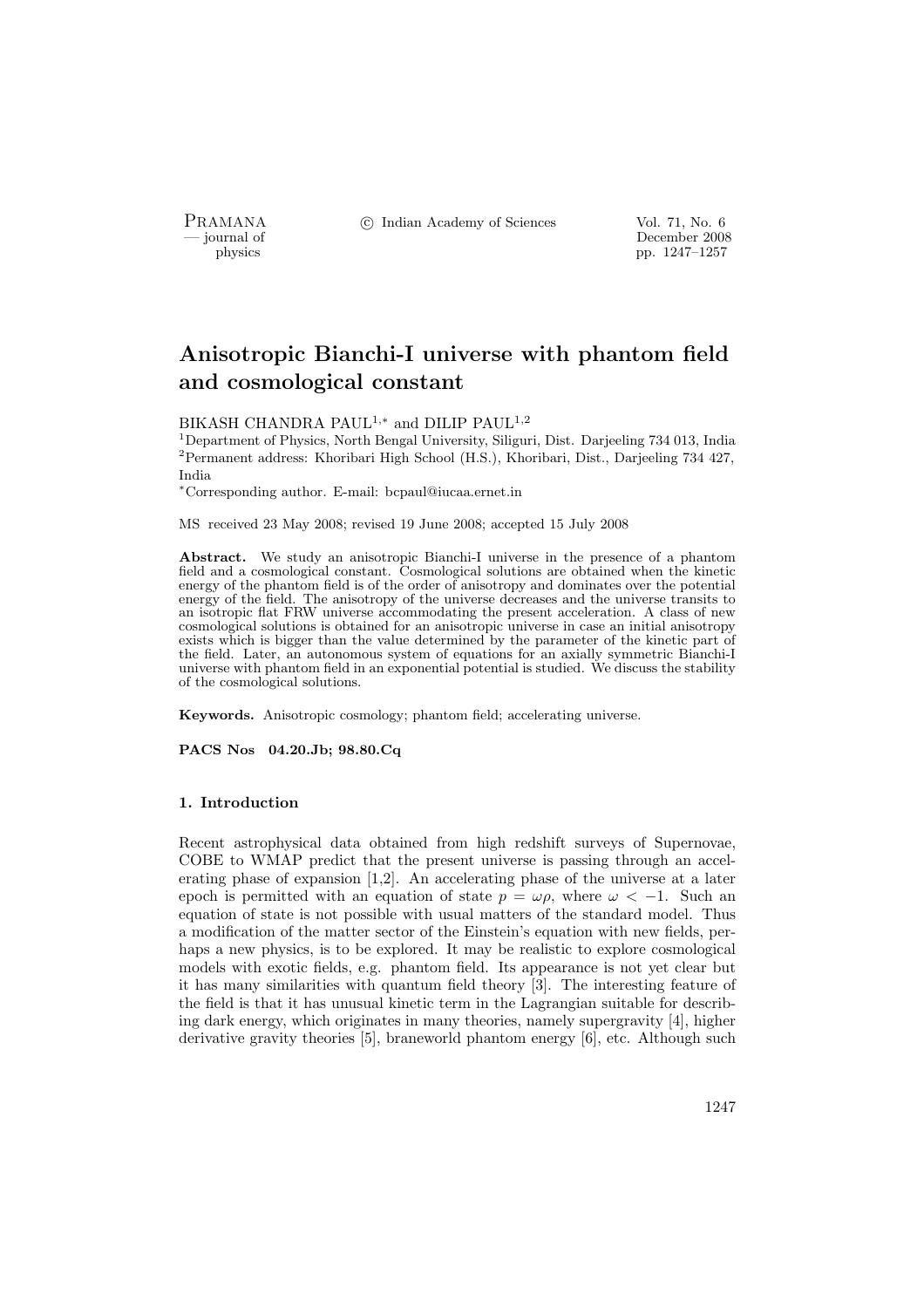PRAMANA <sup>C</sup> Indian Academy of Sciences Vol. 71, No. 6<br>
— iournal of December 2008

physics<br>
a physics<br>
December 2008<br>
pp. 1247–1257 physics pp. 1247–1257

# Anisotropic Bianchi-I universe with phantom field and cosmological constant

BIKASH CHANDRA PAUL<sup>1,∗</sup> and DILIP PAUL<sup>1,2</sup>

<sup>1</sup>Department of Physics, North Bengal University, Siliguri, Dist. Darjeeling 734 013, India <sup>2</sup>Permanent address: Khoribari High School (H.S.), Khoribari, Dist., Darjeeling 734 427, India

<sup>∗</sup>Corresponding author. E-mail: bcpaul@iucaa.ernet.in

MS received 23 May 2008; revised 19 June 2008; accepted 15 July 2008

Abstract. We study an anisotropic Bianchi-I universe in the presence of a phantom field and a cosmological constant. Cosmological solutions are obtained when the kinetic energy of the phantom field is of the order of anisotropy and dominates over the potential energy of the field. The anisotropy of the universe decreases and the universe transits to an isotropic flat FRW universe accommodating the present acceleration. A class of new cosmological solutions is obtained for an anisotropic universe in case an initial anisotropy exists which is bigger than the value determined by the parameter of the kinetic part of the field. Later, an autonomous system of equations for an axially symmetric Bianchi-I universe with phantom field in an exponential potential is studied. We discuss the stability of the cosmological solutions.

Keywords. Anisotropic cosmology; phantom field; accelerating universe.

PACS Nos 04.20.Jb; 98.80.Cq

## 1. Introduction

Recent astrophysical data obtained from high redshift surveys of Supernovae, COBE to WMAP predict that the present universe is passing through an accelerating phase of expansion [1,2]. An accelerating phase of the universe at a later epoch is permitted with an equation of state  $p = \omega \rho$ , where  $\omega < -1$ . Such an equation of state is not possible with usual matters of the standard model. Thus a modification of the matter sector of the Einstein's equation with new fields, perhaps a new physics, is to be explored. It may be realistic to explore cosmological models with exotic fields, e.g. phantom field. Its appearance is not yet clear but it has many similarities with quantum field theory [3]. The interesting feature of the field is that it has unusual kinetic term in the Lagrangian suitable for describing dark energy, which originates in many theories, namely supergravity [4], higher derivative gravity theories [5], braneworld phantom energy [6], etc. Although such

1247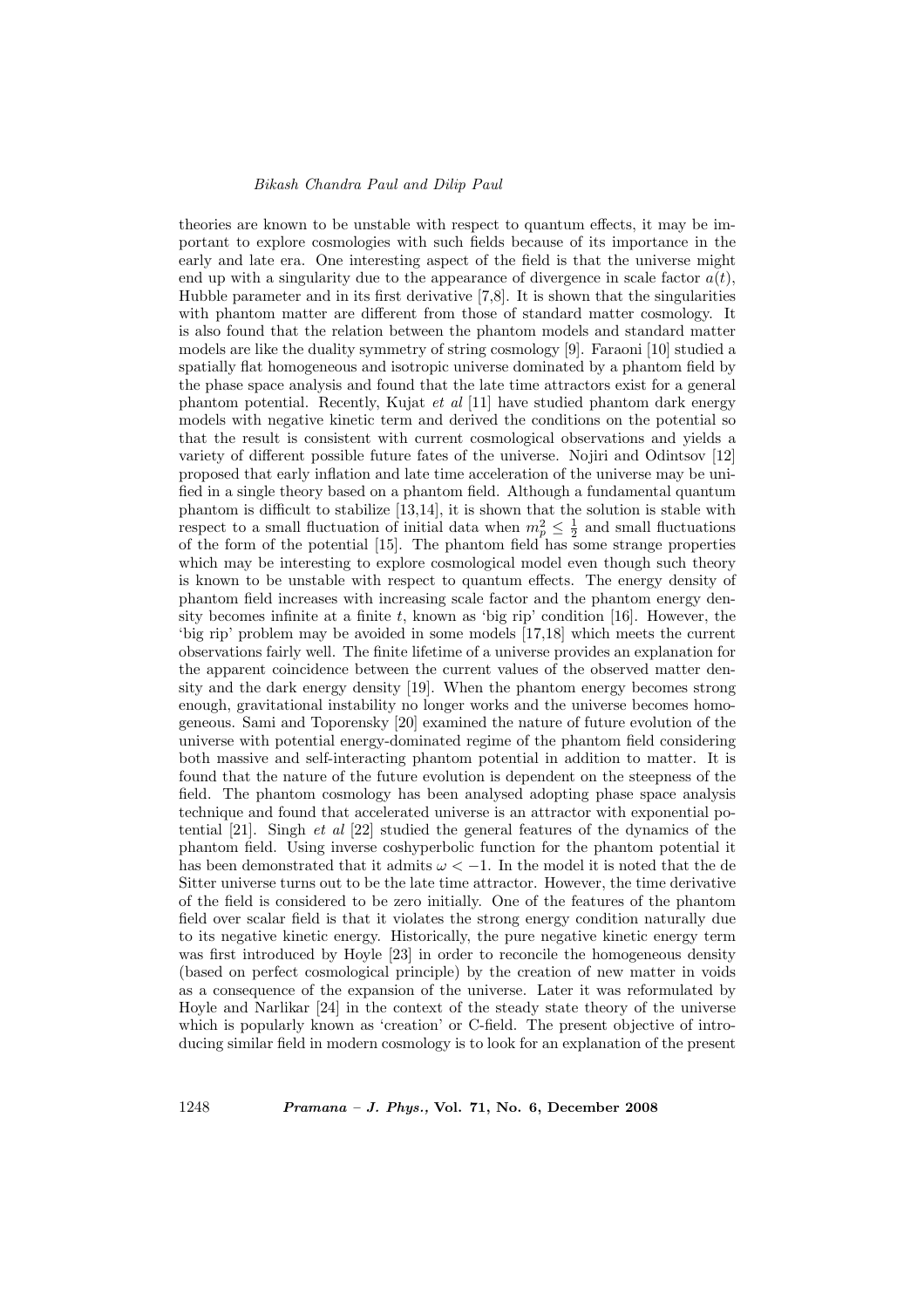theories are known to be unstable with respect to quantum effects, it may be important to explore cosmologies with such fields because of its importance in the early and late era. One interesting aspect of the field is that the universe might end up with a singularity due to the appearance of divergence in scale factor  $a(t)$ , Hubble parameter and in its first derivative [7,8]. It is shown that the singularities with phantom matter are different from those of standard matter cosmology. It is also found that the relation between the phantom models and standard matter models are like the duality symmetry of string cosmology [9]. Faraoni [10] studied a spatially flat homogeneous and isotropic universe dominated by a phantom field by the phase space analysis and found that the late time attractors exist for a general phantom potential. Recently, Kujat et al  $[11]$  have studied phantom dark energy models with negative kinetic term and derived the conditions on the potential so that the result is consistent with current cosmological observations and yields a variety of different possible future fates of the universe. Nojiri and Odintsov [12] proposed that early inflation and late time acceleration of the universe may be unified in a single theory based on a phantom field. Although a fundamental quantum phantom is difficult to stabilize [13,14], it is shown that the solution is stable with respect to a small fluctuation of initial data when  $m_p^2 \leq \frac{1}{2}$  and small fluctuations of the form of the potential [15]. The phantom field has some strange properties which may be interesting to explore cosmological model even though such theory is known to be unstable with respect to quantum effects. The energy density of phantom field increases with increasing scale factor and the phantom energy density becomes infinite at a finite  $t$ , known as 'big rip' condition [16]. However, the 'big rip' problem may be avoided in some models [17,18] which meets the current observations fairly well. The finite lifetime of a universe provides an explanation for the apparent coincidence between the current values of the observed matter density and the dark energy density [19]. When the phantom energy becomes strong enough, gravitational instability no longer works and the universe becomes homogeneous. Sami and Toporensky [20] examined the nature of future evolution of the universe with potential energy-dominated regime of the phantom field considering both massive and self-interacting phantom potential in addition to matter. It is found that the nature of the future evolution is dependent on the steepness of the field. The phantom cosmology has been analysed adopting phase space analysis technique and found that accelerated universe is an attractor with exponential potential [21]. Singh et al [22] studied the general features of the dynamics of the phantom field. Using inverse coshyperbolic function for the phantom potential it has been demonstrated that it admits  $\omega < -1$ . In the model it is noted that the de Sitter universe turns out to be the late time attractor. However, the time derivative of the field is considered to be zero initially. One of the features of the phantom field over scalar field is that it violates the strong energy condition naturally due to its negative kinetic energy. Historically, the pure negative kinetic energy term was first introduced by Hoyle [23] in order to reconcile the homogeneous density (based on perfect cosmological principle) by the creation of new matter in voids as a consequence of the expansion of the universe. Later it was reformulated by Hoyle and Narlikar [24] in the context of the steady state theory of the universe which is popularly known as 'creation' or C-field. The present objective of introducing similar field in modern cosmology is to look for an explanation of the present

1248 Pramana – J. Phys., Vol. 71, No. 6, December 2008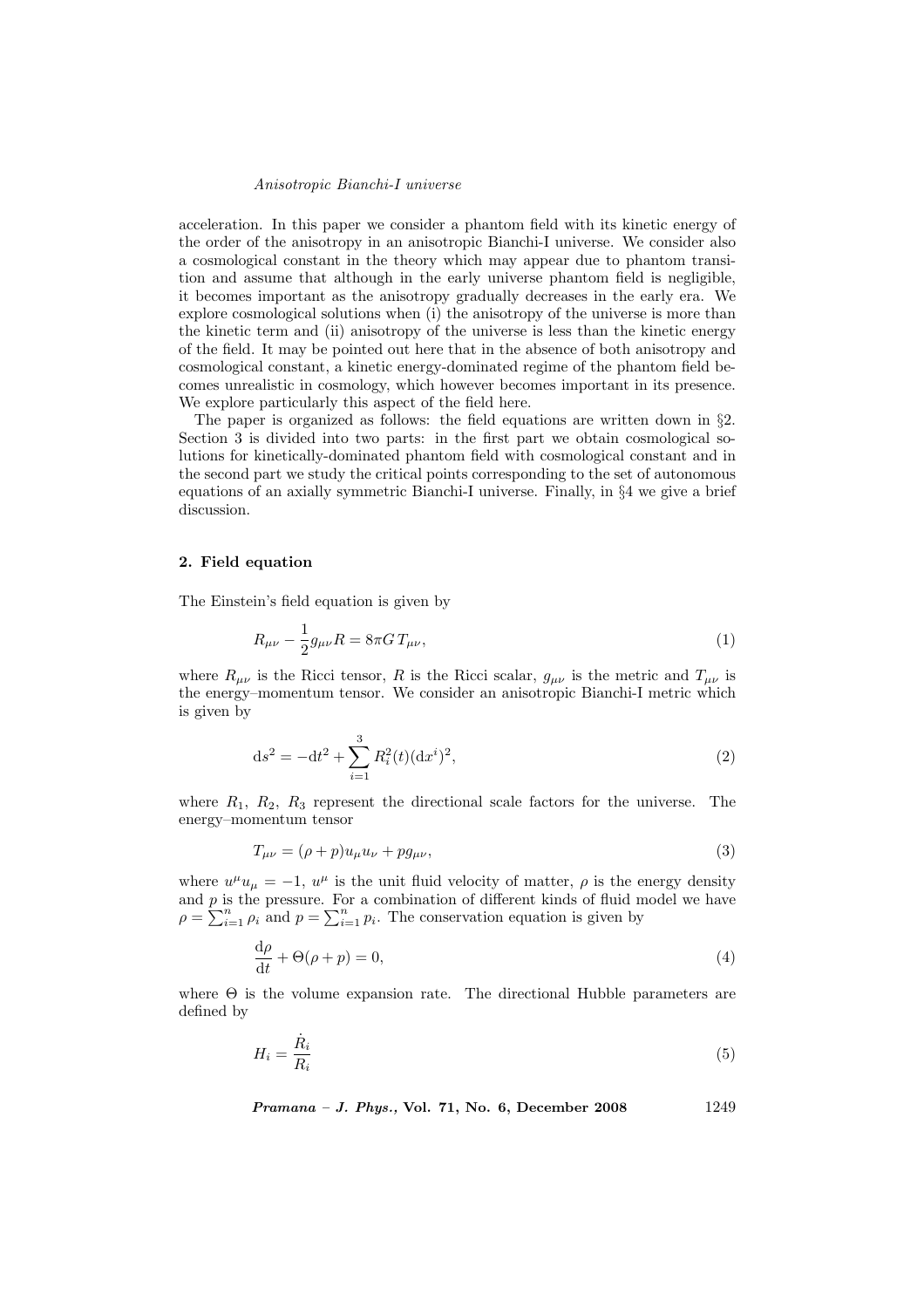acceleration. In this paper we consider a phantom field with its kinetic energy of the order of the anisotropy in an anisotropic Bianchi-I universe. We consider also a cosmological constant in the theory which may appear due to phantom transition and assume that although in the early universe phantom field is negligible, it becomes important as the anisotropy gradually decreases in the early era. We explore cosmological solutions when (i) the anisotropy of the universe is more than the kinetic term and (ii) anisotropy of the universe is less than the kinetic energy of the field. It may be pointed out here that in the absence of both anisotropy and cosmological constant, a kinetic energy-dominated regime of the phantom field becomes unrealistic in cosmology, which however becomes important in its presence. We explore particularly this aspect of the field here.

The paper is organized as follows: the field equations are written down in §2. Section 3 is divided into two parts: in the first part we obtain cosmological solutions for kinetically-dominated phantom field with cosmological constant and in the second part we study the critical points corresponding to the set of autonomous equations of an axially symmetric Bianchi-I universe. Finally, in §4 we give a brief discussion.

#### 2. Field equation

The Einstein's field equation is given by

$$
R_{\mu\nu} - \frac{1}{2}g_{\mu\nu}R = 8\pi G T_{\mu\nu},\tag{1}
$$

where  $R_{\mu\nu}$  is the Ricci tensor, R is the Ricci scalar,  $g_{\mu\nu}$  is the metric and  $T_{\mu\nu}$  is the energy–momentum tensor. We consider an anisotropic Bianchi-I metric which is given by

$$
ds^{2} = -dt^{2} + \sum_{i=1}^{3} R_{i}^{2}(t)(dx^{i})^{2},
$$
\n(2)

where  $R_1, R_2, R_3$  represent the directional scale factors for the universe. The energy–momentum tensor

$$
T_{\mu\nu} = (\rho + p)u_{\mu}u_{\nu} + pg_{\mu\nu},\tag{3}
$$

where  $u^{\mu}u_{\mu} = -1$ ,  $u^{\mu}$  is the unit fluid velocity of matter,  $\rho$  is the energy density and  $p$  is the pressure. For a combination of different kinds of fluid model we have and p is the pressure. For a combination of different kinds of fluid if  $\rho = \sum_{i=1}^{n} \rho_i$  and  $p = \sum_{i=1}^{n} p_i$ . The conservation equation is given by

$$
\frac{\mathrm{d}\rho}{\mathrm{d}t} + \Theta(\rho + p) = 0,\tag{4}
$$

where  $\Theta$  is the volume expansion rate. The directional Hubble parameters are defined by

$$
H_i = \frac{\dot{R}_i}{R_i} \tag{5}
$$

Pramana – J. Phys., Vol. 71, No. 6, December 2008 1249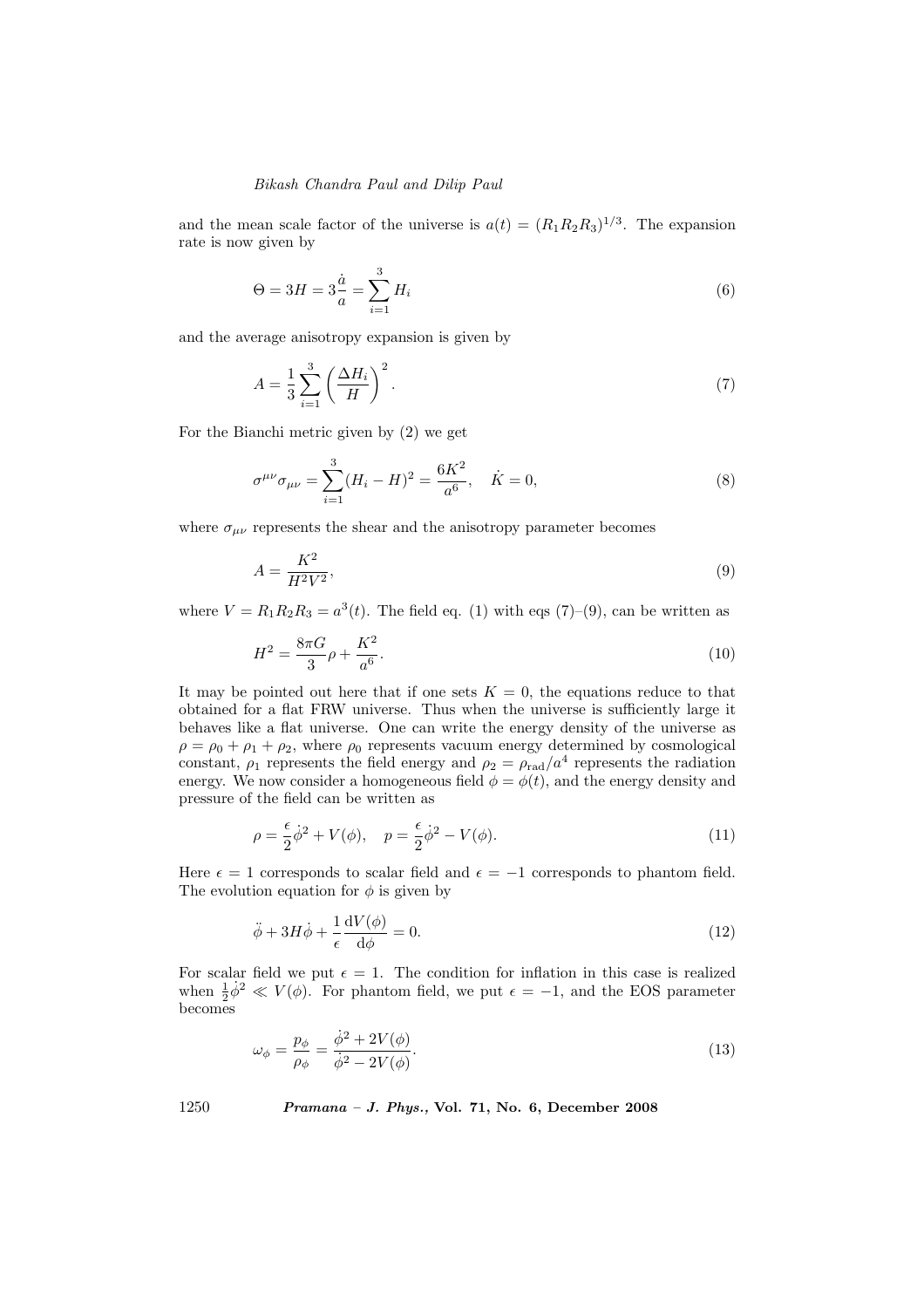and the mean scale factor of the universe is  $a(t) = (R_1R_2R_3)^{1/3}$ . The expansion rate is now given by

$$
\Theta = 3H = 3\frac{\dot{a}}{a} = \sum_{i=1}^{3} H_i
$$
\n(6)

and the average anisotropy expansion is given by

$$
A = \frac{1}{3} \sum_{i=1}^{3} \left(\frac{\Delta H_i}{H}\right)^2.
$$
\n<sup>(7)</sup>

For the Bianchi metric given by (2) we get

$$
\sigma^{\mu\nu}\sigma_{\mu\nu} = \sum_{i=1}^{3} (H_i - H)^2 = \frac{6K^2}{a^6}, \quad \dot{K} = 0,
$$
\n(8)

where  $\sigma_{\mu\nu}$  represents the shear and the anisotropy parameter becomes

$$
A = \frac{K^2}{H^2 V^2},\tag{9}
$$

where  $V = R_1 R_2 R_3 = a^3(t)$ . The field eq. (1) with eqs (7)–(9), can be written as

$$
H^2 = \frac{8\pi G}{3}\rho + \frac{K^2}{a^6}.
$$
\n(10)

It may be pointed out here that if one sets  $K = 0$ , the equations reduce to that obtained for a flat FRW universe. Thus when the universe is sufficiently large it behaves like a flat universe. One can write the energy density of the universe as  $\rho = \rho_0 + \rho_1 + \rho_2$ , where  $\rho_0$  represents vacuum energy determined by cosmological constant,  $\rho_1$  represents the field energy and  $\rho_2 = \rho_{\text{rad}}/a^4$  represents the radiation energy. We now consider a homogeneous field  $\phi = \phi(t)$ , and the energy density and pressure of the field can be written as

$$
\rho = \frac{\epsilon}{2}\dot{\phi}^2 + V(\phi), \quad p = \frac{\epsilon}{2}\dot{\phi}^2 - V(\phi). \tag{11}
$$

Here  $\epsilon = 1$  corresponds to scalar field and  $\epsilon = -1$  corresponds to phantom field. The evolution equation for  $\phi$  is given by

$$
\ddot{\phi} + 3H\dot{\phi} + \frac{1}{\epsilon} \frac{\mathrm{d}V(\phi)}{\mathrm{d}\phi} = 0. \tag{12}
$$

For scalar field we put  $\epsilon = 1$ . The condition for inflation in this case is realized when  $\frac{1}{2}\dot{\phi}^2 \ll V(\phi)$ . For phantom field, we put  $\epsilon = -1$ , and the EOS parameter becomes

$$
\omega_{\phi} = \frac{p_{\phi}}{\rho_{\phi}} = \frac{\dot{\phi}^2 + 2V(\phi)}{\dot{\phi}^2 - 2V(\phi)}.
$$
\n(13)

1250 Pramana – J. Phys., Vol. 71, No. 6, December 2008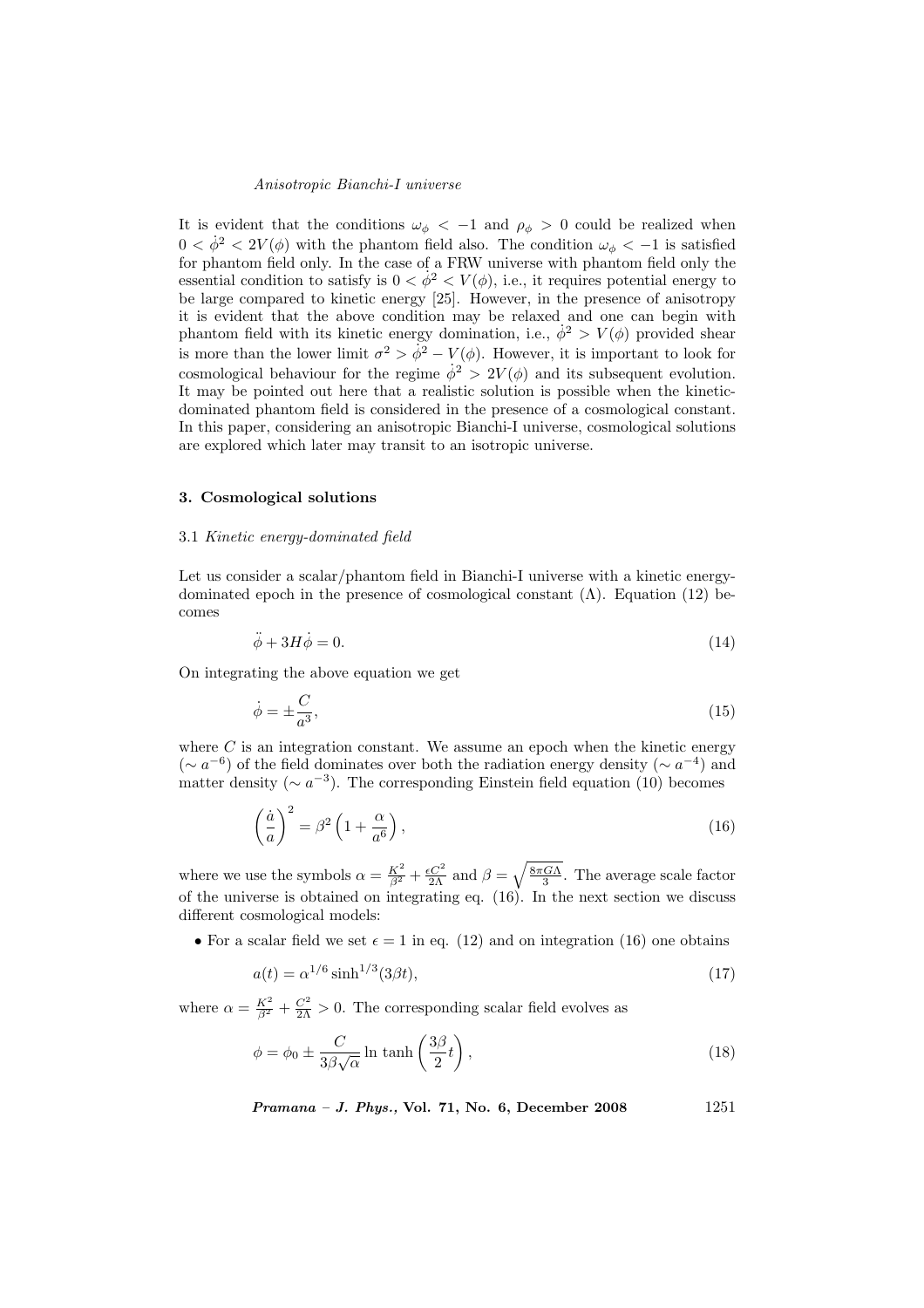It is evident that the conditions  $\omega_{\phi} < -1$  and  $\rho_{\phi} > 0$  could be realized when  $0 < \dot{\phi}^2 < 2V(\phi)$  with the phantom field also. The condition  $\omega_{\phi} < -1$  is satisfied for phantom field only. In the case of a FRW universe with phantom field only the essential condition to satisfy is  $0 < \dot{\phi}^2 < V(\phi)$ , i.e., it requires potential energy to be large compared to kinetic energy [25]. However, in the presence of anisotropy it is evident that the above condition may be relaxed and one can begin with phantom field with its kinetic energy domination, i.e.,  $\dot{\phi}^2 > V(\phi)$  provided shear is more than the lower limit  $\sigma^2 > \dot{\phi}^2 - V(\phi)$ . However, it is important to look for cosmological behaviour for the regime  $\dot{\phi}^2 > 2V(\phi)$  and its subsequent evolution. It may be pointed out here that a realistic solution is possible when the kineticdominated phantom field is considered in the presence of a cosmological constant. In this paper, considering an anisotropic Bianchi-I universe, cosmological solutions are explored which later may transit to an isotropic universe.

# 3. Cosmological solutions

## 3.1 Kinetic energy-dominated field

Let us consider a scalar/phantom field in Bianchi-I universe with a kinetic energydominated epoch in the presence of cosmological constant  $(\Lambda)$ . Equation (12) becomes

$$
\ddot{\phi} + 3H\dot{\phi} = 0. \tag{14}
$$

On integrating the above equation we get

$$
\dot{\phi} = \pm \frac{C}{a^3},\tag{15}
$$

where  $C$  is an integration constant. We assume an epoch when the kinetic energy ( $\sim a^{-6}$ ) of the field dominates over both the radiation energy density ( $\sim a^{-4}$ ) and matter density ( $\sim a^{-3}$ ). The corresponding Einstein field equation (10) becomes

$$
\left(\frac{\dot{a}}{a}\right)^2 = \beta^2 \left(1 + \frac{\alpha}{a^6}\right),\tag{16}
$$

where we use the symbols  $\alpha = \frac{K^2}{\beta^2} + \frac{\epsilon C^2}{2\Lambda}$  and  $\beta =$  $\sqrt{\frac{8\pi G\Lambda}{3}}$ . The average scale factor of the universe is obtained on integrating eq. (16). In the next section we discuss different cosmological models:

• For a scalar field we set  $\epsilon = 1$  in eq. (12) and on integration (16) one obtains

$$
a(t) = \alpha^{1/6} \sinh^{1/3}(3\beta t),\tag{17}
$$

where  $\alpha = \frac{K^2}{\beta^2} + \frac{C^2}{2\Lambda} > 0$ . The corresponding scalar field evolves as

$$
\phi = \phi_0 \pm \frac{C}{3\beta\sqrt{\alpha}} \ln \tanh\left(\frac{3\beta}{2}t\right),\tag{18}
$$

*Pramana – J. Phys.*, Vol. 71, No. 6, December 2008 1251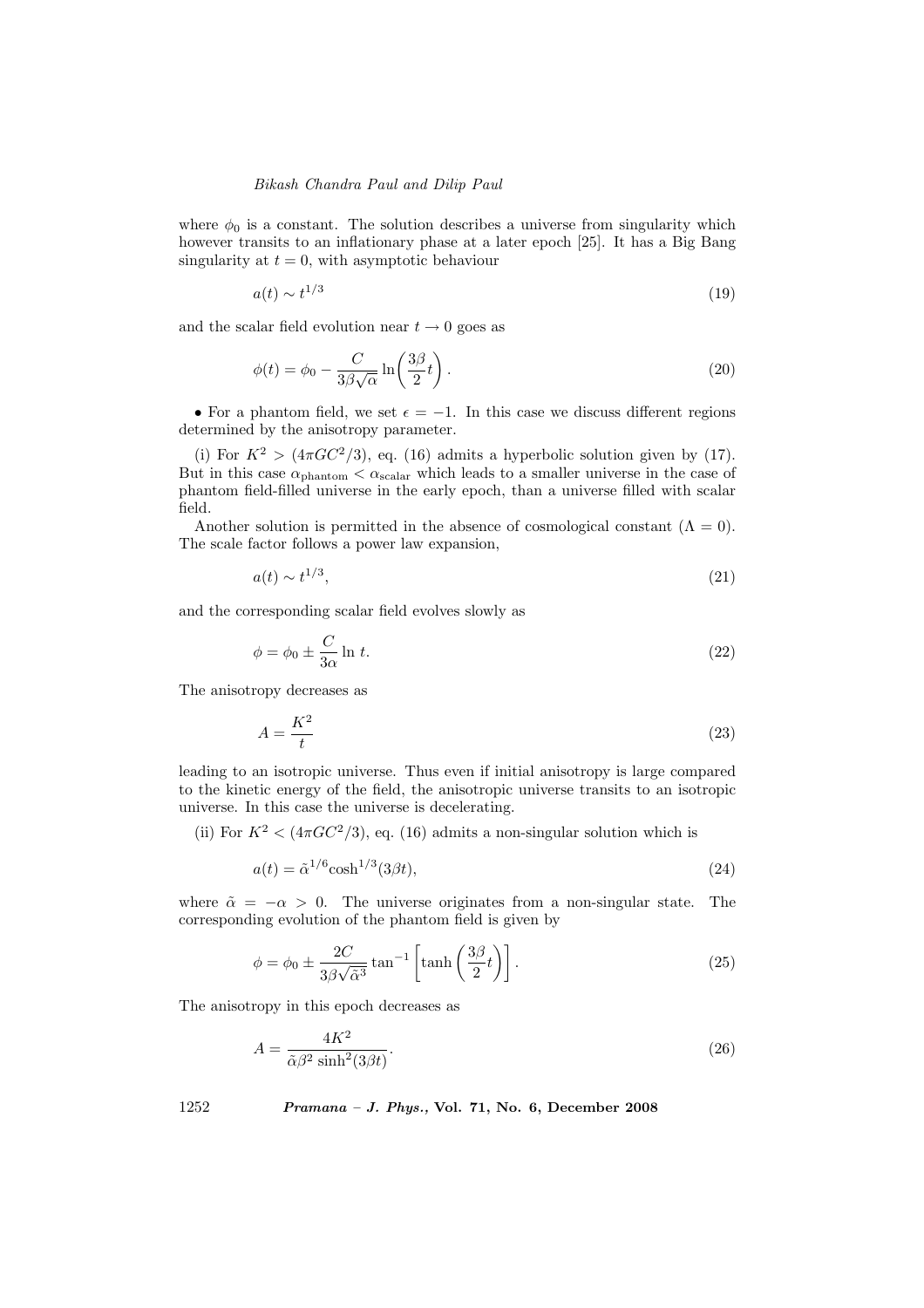where  $\phi_0$  is a constant. The solution describes a universe from singularity which however transits to an inflationary phase at a later epoch [25]. It has a Big Bang singularity at  $t = 0$ , with asymptotic behaviour

$$
a(t) \sim t^{1/3} \tag{19}
$$

and the scalar field evolution near  $t \to 0$  goes as

$$
\phi(t) = \phi_0 - \frac{C}{3\beta\sqrt{\alpha}}\ln\left(\frac{3\beta}{2}t\right).
$$
\n(20)

• For a phantom field, we set  $\epsilon = -1$ . In this case we discuss different regions determined by the anisotropy parameter.

(i) For  $K^2 > (4\pi GC^2/3)$ , eq. (16) admits a hyperbolic solution given by (17). But in this case  $\alpha_{\text{phantom}} < \alpha_{\text{scalar}}$  which leads to a smaller universe in the case of phantom field-filled universe in the early epoch, than a universe filled with scalar field.

Another solution is permitted in the absence of cosmological constant  $(Λ = 0)$ . The scale factor follows a power law expansion,

$$
a(t) \sim t^{1/3},\tag{21}
$$

and the corresponding scalar field evolves slowly as

$$
\phi = \phi_0 \pm \frac{C}{3\alpha} \ln t. \tag{22}
$$

The anisotropy decreases as

$$
A = \frac{K^2}{t} \tag{23}
$$

leading to an isotropic universe. Thus even if initial anisotropy is large compared to the kinetic energy of the field, the anisotropic universe transits to an isotropic universe. In this case the universe is decelerating.

(ii) For  $K^2 < (4\pi G C^2/3)$ , eq. (16) admits a non-singular solution which is

$$
a(t) = \tilde{\alpha}^{1/6} \cosh^{1/3}(3\beta t),\tag{24}
$$

where  $\tilde{\alpha} = -\alpha > 0$ . The universe originates from a non-singular state. The corresponding evolution of the phantom field is given by

$$
\phi = \phi_0 \pm \frac{2C}{3\beta\sqrt{\tilde{\alpha}^3}} \tan^{-1} \left[ \tanh\left(\frac{3\beta}{2}t\right) \right]. \tag{25}
$$

The anisotropy in this epoch decreases as

$$
A = \frac{4K^2}{\tilde{\alpha}\beta^2 \sinh^2(3\beta t)}.\tag{26}
$$

1252 Pramana – J. Phys., Vol. 71, No. 6, December 2008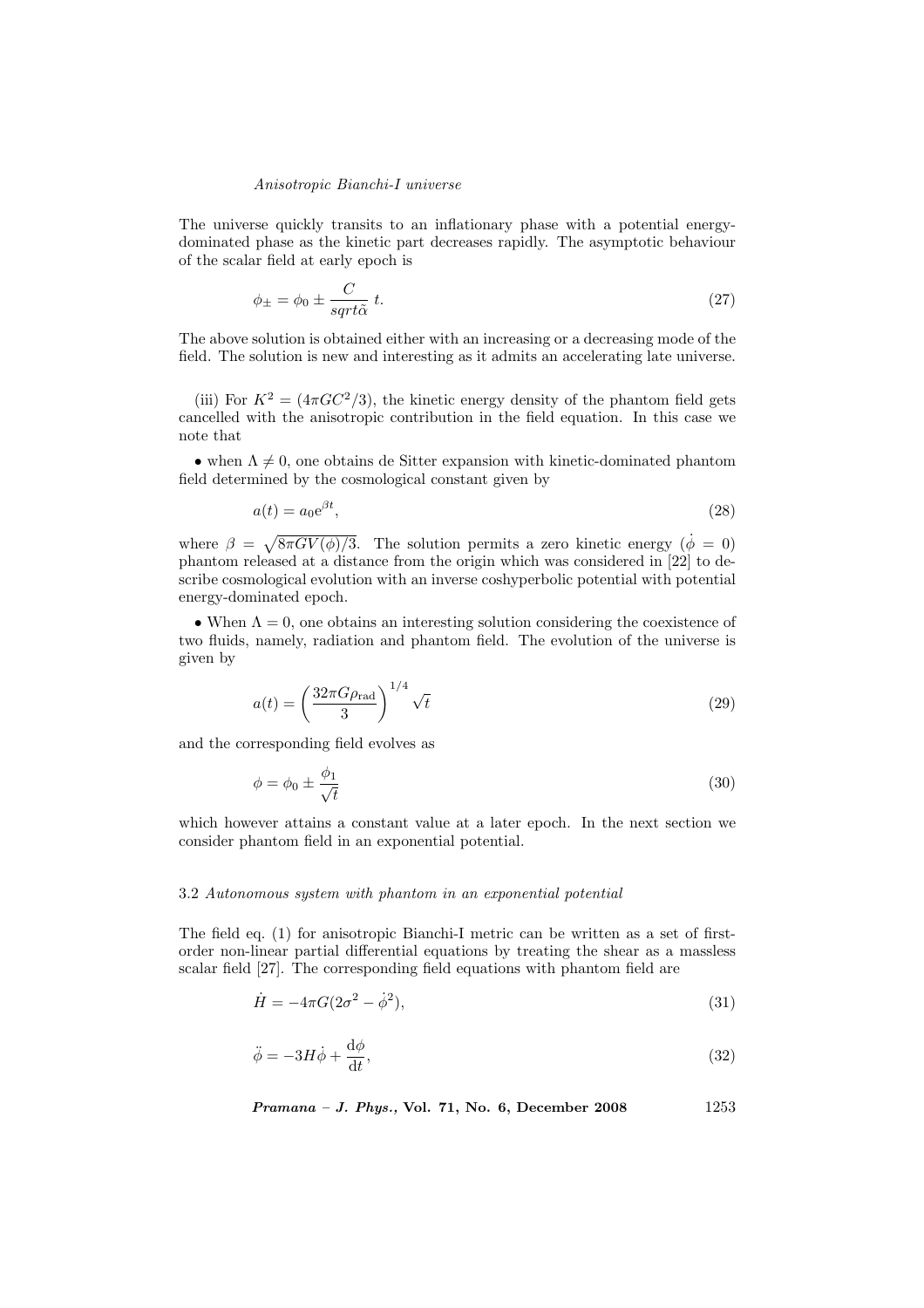The universe quickly transits to an inflationary phase with a potential energydominated phase as the kinetic part decreases rapidly. The asymptotic behaviour of the scalar field at early epoch is

$$
\phi_{\pm} = \phi_0 \pm \frac{C}{sqrt\hbar} t. \tag{27}
$$

The above solution is obtained either with an increasing or a decreasing mode of the field. The solution is new and interesting as it admits an accelerating late universe.

(iii) For  $K^2 = (4\pi GC^2/3)$ , the kinetic energy density of the phantom field gets cancelled with the anisotropic contribution in the field equation. In this case we note that

• when  $\Lambda \neq 0$ , one obtains de Sitter expansion with kinetic-dominated phantom field determined by the cosmological constant given by

$$
a(t) = a_0 e^{\beta t},\tag{28}
$$

where  $\beta =$  $\sqrt{8\pi G V(\phi)/3}$ . The solution permits a zero kinetic energy  $(\dot{\phi} = 0)$ phantom released at a distance from the origin which was considered in [22] to describe cosmological evolution with an inverse coshyperbolic potential with potential energy-dominated epoch.

• When  $\Lambda = 0$ , one obtains an interesting solution considering the coexistence of two fluids, namely, radiation and phantom field. The evolution of the universe is given by

$$
a(t) = \left(\frac{32\pi G\rho_{\rm rad}}{3}\right)^{1/4} \sqrt{t}
$$
\n(29)

and the corresponding field evolves as

$$
\phi = \phi_0 \pm \frac{\phi_1}{\sqrt{t}}\tag{30}
$$

which however attains a constant value at a later epoch. In the next section we consider phantom field in an exponential potential.

# 3.2 Autonomous system with phantom in an exponential potential

The field eq. (1) for anisotropic Bianchi-I metric can be written as a set of firstorder non-linear partial differential equations by treating the shear as a massless scalar field [27]. The corresponding field equations with phantom field are

$$
\dot{H} = -4\pi G (2\sigma^2 - \dot{\phi}^2),\tag{31}
$$

$$
\ddot{\phi} = -3H\dot{\phi} + \frac{\mathrm{d}\phi}{\mathrm{d}t},\tag{32}
$$

Pramana – J. Phys., Vol. 71, No. 6, December 2008 1253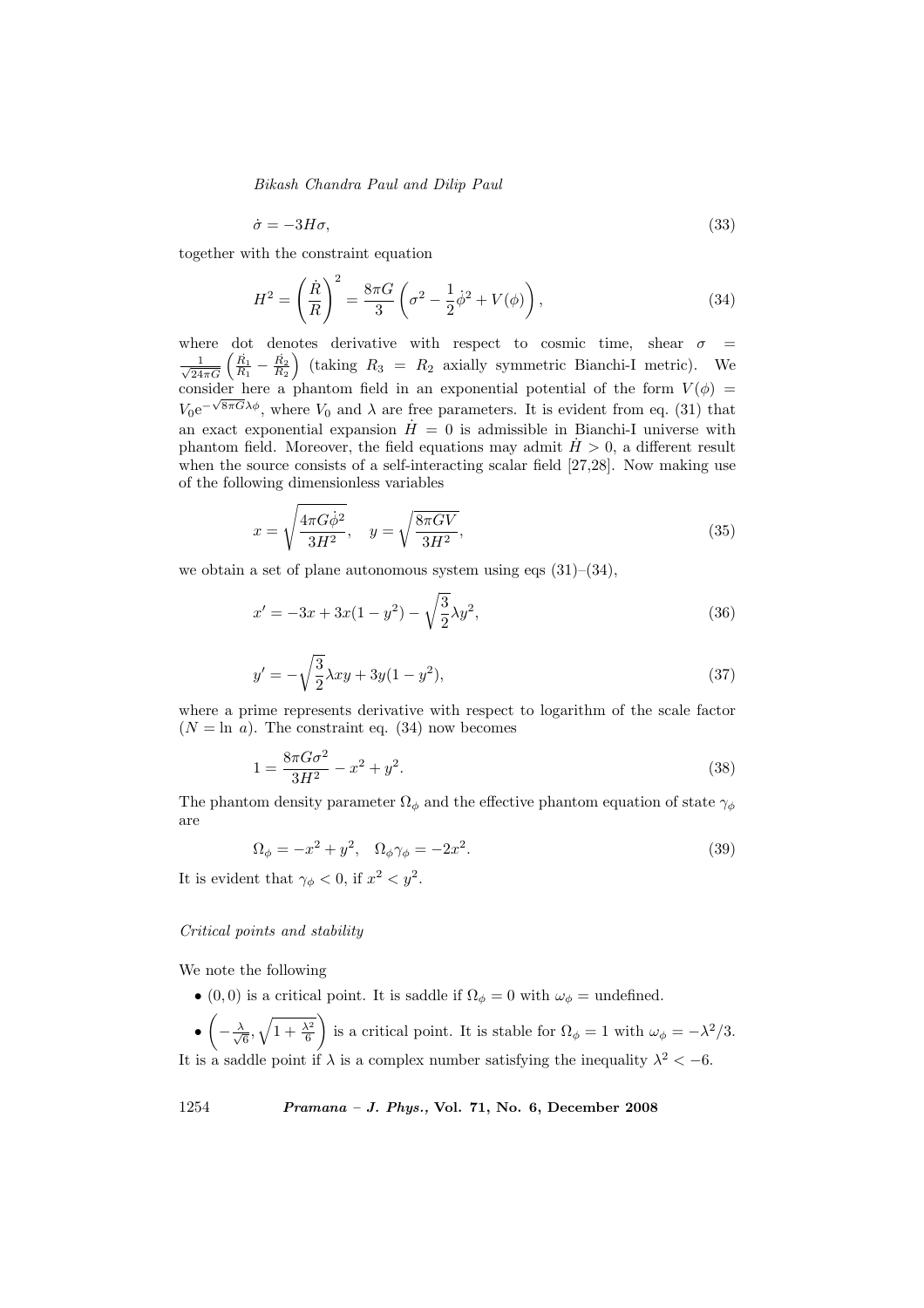$$
\dot{\sigma} = -3H\sigma,\tag{33}
$$

together with the constraint equation

$$
H^{2} = \left(\frac{\dot{R}}{R}\right)^{2} = \frac{8\pi G}{3} \left(\sigma^{2} - \frac{1}{2}\dot{\phi}^{2} + V(\phi)\right),
$$
\n(34)

where dot denotes derivative with respect to cosmic time, shear  $\sigma$  =  $\frac{1}{\sqrt{2}}$ here dot denotes derivative with respect to cosmic time, shear  $\sigma = \frac{1}{24\pi G} \left( \frac{\vec{R}_1}{R_1} - \frac{\vec{R}_2}{R_2} \right)$  (taking  $R_3 = R_2$  axially symmetric Bianchi-I metric). We consider here a phantom field in an exponential potential of the form  $V(\phi)$  =  $V_0e^{-\sqrt{8\pi}G\lambda\phi}$ , where  $V_0$  and  $\lambda$  are free parameters. It is evident from eq. (31) that an exact exponential expansion  $\dot{H} = 0$  is admissible in Bianchi-I universe with phantom field. Moreover, the field equations may admit  $H > 0$ , a different result when the source consists of a self-interacting scalar field [27,28]. Now making use of the following dimensionless variables

$$
x = \sqrt{\frac{4\pi G\dot{\phi}^2}{3H^2}}, \quad y = \sqrt{\frac{8\pi GV}{3H^2}},\tag{35}
$$

we obtain a set of plane autonomous system using eqs  $(31)$ – $(34)$ ,

$$
x' = -3x + 3x(1 - y^2) - \sqrt{\frac{3}{2}}\lambda y^2,
$$
\n(36)

$$
y' = -\sqrt{\frac{3}{2}}\lambda xy + 3y(1 - y^2),\tag{37}
$$

where a prime represents derivative with respect to logarithm of the scale factor  $(N = \ln a)$ . The constraint eq. (34) now becomes

$$
1 = \frac{8\pi G\sigma^2}{3H^2} - x^2 + y^2.
$$
\n(38)

The phantom density parameter  $\Omega_{\phi}$  and the effective phantom equation of state  $\gamma_{\phi}$ are

$$
\Omega_{\phi} = -x^2 + y^2, \quad \Omega_{\phi}\gamma_{\phi} = -2x^2.
$$
\n(39)

It is evident that  $\gamma_{\phi} < 0$ , if  $x^2 < y^2$ .

# Critical points and stability

We note the following

- (0,0) is a critical point. It is saddle if  $\Omega_{\phi} = 0$  with  $\omega_{\phi} =$  undefined.  $\ddot{\phantom{1}}$  $\mathbf{r}$
- $-\frac{\lambda}{4}$  $\frac{1}{6}$  $\mathcal{L}$  $1 + \frac{\lambda^2}{6}$ is a critical point. It is stable for  $\Omega_{\phi} = 1$  with  $\omega_{\phi} = -\lambda^2/3$ . It is a saddle point if  $\lambda$  is a complex number satisfying the inequality  $\lambda^2 < -6$ .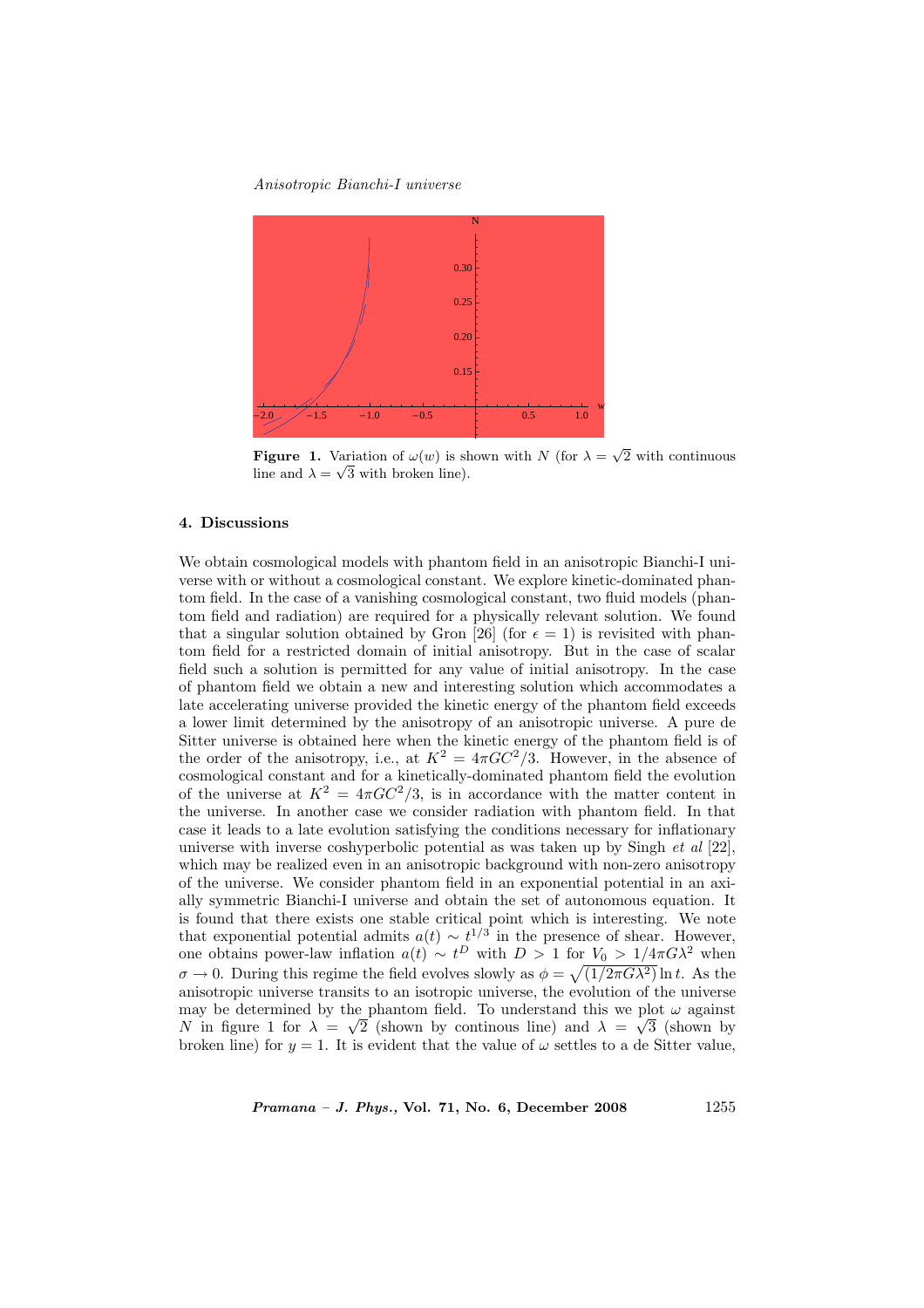

**Figure 1.** Variation of  $\omega(w)$  is shown with N (for  $\lambda = \sqrt{2}$  with continuous line and  $\lambda = \sqrt{3}$  with broken line).

# 4. Discussions

We obtain cosmological models with phantom field in an anisotropic Bianchi-I universe with or without a cosmological constant. We explore kinetic-dominated phantom field. In the case of a vanishing cosmological constant, two fluid models (phantom field and radiation) are required for a physically relevant solution. We found that a singular solution obtained by Gron [26] (for  $\epsilon = 1$ ) is revisited with phantom field for a restricted domain of initial anisotropy. But in the case of scalar field such a solution is permitted for any value of initial anisotropy. In the case of phantom field we obtain a new and interesting solution which accommodates a late accelerating universe provided the kinetic energy of the phantom field exceeds a lower limit determined by the anisotropy of an anisotropic universe. A pure de Sitter universe is obtained here when the kinetic energy of the phantom field is of the order of the anisotropy, i.e., at  $K^2 = 4\pi GC^2/3$ . However, in the absence of cosmological constant and for a kinetically-dominated phantom field the evolution of the universe at  $K^2 = 4\pi G C^2/3$ , is in accordance with the matter content in the universe. In another case we consider radiation with phantom field. In that case it leads to a late evolution satisfying the conditions necessary for inflationary universe with inverse coshyperbolic potential as was taken up by Singh et al [22], which may be realized even in an anisotropic background with non-zero anisotropy of the universe. We consider phantom field in an exponential potential in an axially symmetric Bianchi-I universe and obtain the set of autonomous equation. It is found that there exists one stable critical point which is interesting. We note that exponential potential admits  $a(t) \sim t^{1/3}$  in the presence of shear. However, one obtains power-law inflation  $a(t) \sim t^D$  with  $D > 1$  for  $V_0 > 1/4\pi G\lambda^2$  when  $\sigma \to 0$ . During this regime the field evolves slowly as  $\phi = \sqrt{(1/2\pi G\lambda^2)} \ln t$ . As the anisotropic universe transits to an isotropic universe, the evolution of the universe may be determined by the phantom field. To understand this we plot  $\omega$  against N in figure 1 for  $\lambda = \sqrt{2}$  (shown by continuous line) and  $\lambda = \sqrt{3}$  (shown by broken line) for  $y = 1$ . It is evident that the value of  $\omega$  settles to a de Sitter value,

*Pramana – J. Phys.*, Vol. 71, No. 6, December 2008 1255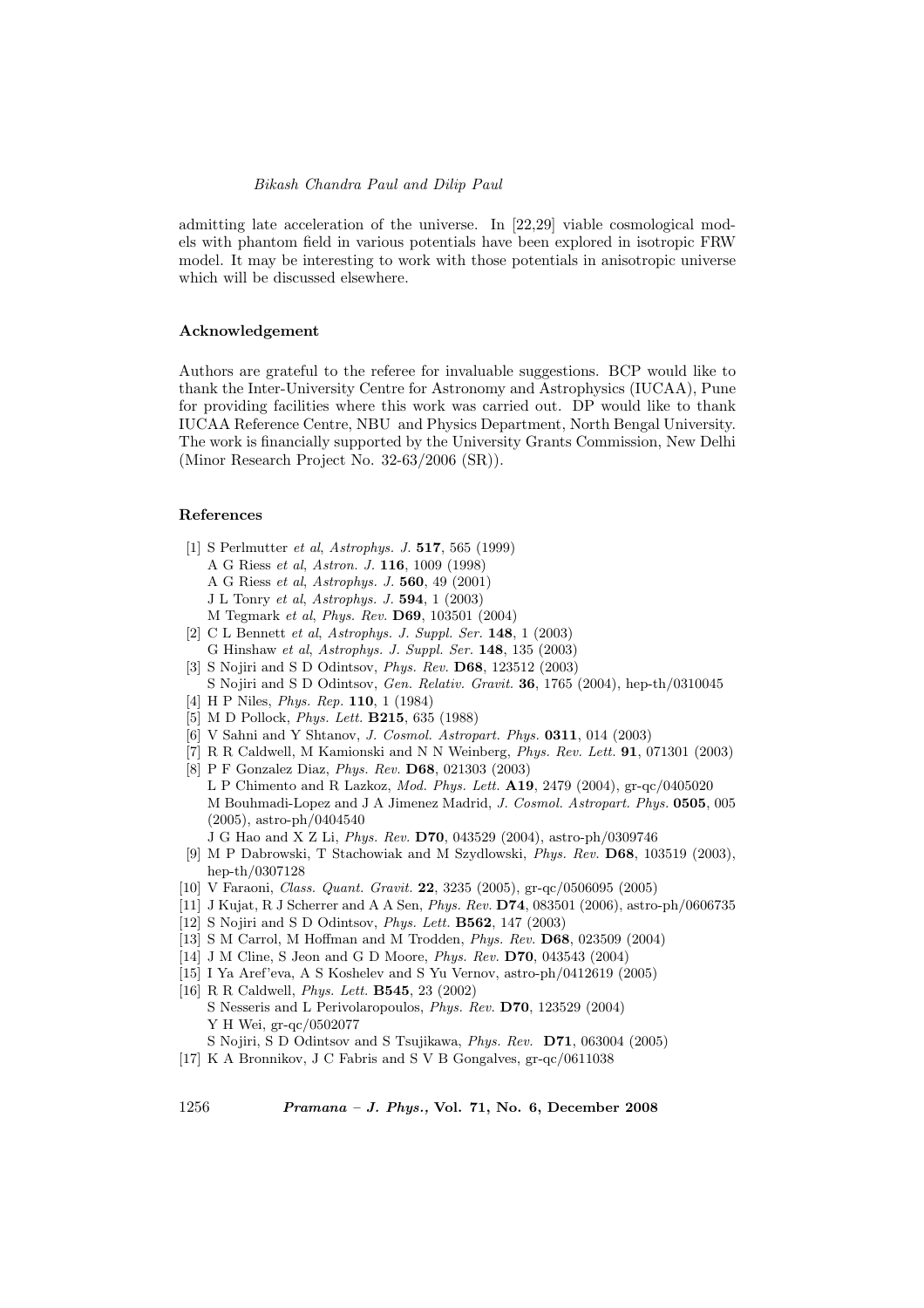admitting late acceleration of the universe. In [22,29] viable cosmological models with phantom field in various potentials have been explored in isotropic FRW model. It may be interesting to work with those potentials in anisotropic universe which will be discussed elsewhere.

# Acknowledgement

Authors are grateful to the referee for invaluable suggestions. BCP would like to thank the Inter-University Centre for Astronomy and Astrophysics (IUCAA), Pune for providing facilities where this work was carried out. DP would like to thank IUCAA Reference Centre, NBU and Physics Department, North Bengal University. The work is financially supported by the University Grants Commission, New Delhi (Minor Research Project No. 32-63/2006 (SR)).

# References

- [1] S Perlmutter et al, Astrophys. J. 517, 565 (1999)
	- A G Riess et al, Astron. J. 116, 1009 (1998)
	- A G Riess et al, Astrophys. J. 560, 49 (2001)
	- J L Tonry et al, Astrophys. J. 594, 1 (2003)
	- M Tegmark et al, Phys. Rev. D69, 103501 (2004)
- [2] C L Bennett et al, Astrophys. J. Suppl. Ser. 148, 1 (2003) G Hinshaw et al, Astrophys. J. Suppl. Ser. 148, 135 (2003)
- [3] S Nojiri and S D Odintsov, Phys. Rev. D68, 123512 (2003)
- S Nojiri and S D Odintsov, Gen. Relativ. Gravit. 36, 1765 (2004), hep-th/0310045
- [4] H P Niles, Phys. Rep. 110, 1 (1984)
- [5] M D Pollock, Phys. Lett. B215, 635 (1988)
- [6] V Sahni and Y Shtanov, *J. Cosmol. Astropart. Phys.* **0311**, 014 (2003)
- [7] R R Caldwell, M Kamionski and N N Weinberg, Phys. Rev. Lett. 91, 071301 (2003) [8] P F Gonzalez Diaz, Phys. Rev. D68, 021303 (2003)
- L P Chimento and R Lazkoz, Mod. Phys. Lett. A19, 2479 (2004), gr-qc/0405020 M Bouhmadi-Lopez and J A Jimenez Madrid, J. Cosmol. Astropart. Phys. 0505, 005 (2005), astro-ph/0404540
- J G Hao and X Z Li, Phys. Rev. D70, 043529 (2004), astro-ph/0309746
- [9] M P Dabrowski, T Stachowiak and M Szydlowski, Phys. Rev. D68, 103519 (2003), hep-th/0307128
- [10] V Faraoni, Class. Quant. Gravit. 22, 3235 (2005), gr-qc/0506095 (2005)
- [11] J Kujat, R J Scherrer and A A Sen, Phys. Rev. D74, 083501 (2006), astro-ph/0606735
- [12] S Nojiri and S D Odintsov, Phys. Lett. B562, 147 (2003)
- [13] S M Carrol, M Hoffman and M Trodden, Phys. Rev. D68, 023509 (2004)
- [14] J M Cline, S Jeon and G D Moore, Phys. Rev. D70, 043543 (2004)
- [15] I Ya Aref'eva, A S Koshelev and S Yu Vernov, astro-ph/0412619 (2005)
- [16] R R Caldwell, Phys. Lett. B545, 23 (2002) S Nesseris and L Perivolaropoulos, Phys. Rev. D70, 123529 (2004) Y H Wei, gr-qc/0502077
- S Nojiri, S D Odintsov and S Tsujikawa, Phys. Rev. D71, 063004 (2005)
- [17] K A Bronnikov, J C Fabris and S V B Gongalves, gr-qc/0611038